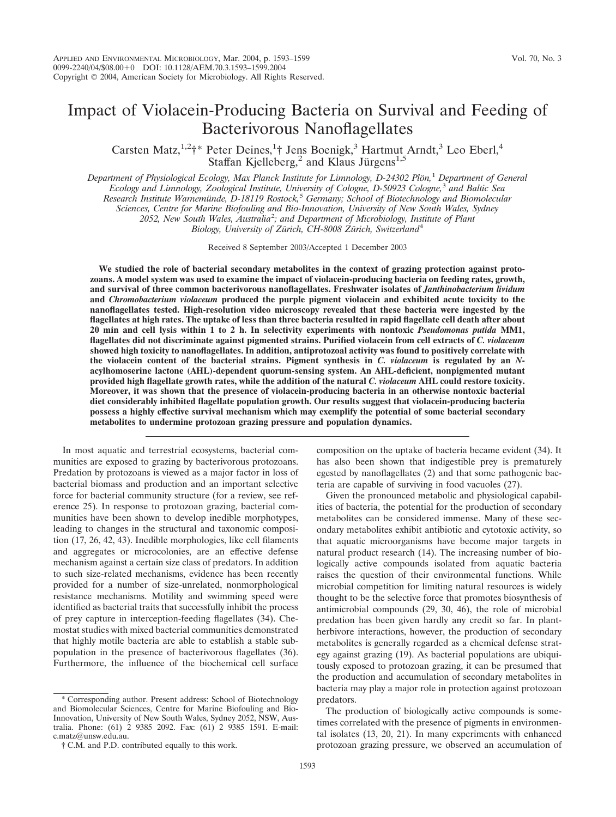# Impact of Violacein-Producing Bacteria on Survival and Feeding of Bacterivorous Nanoflagellates

Carsten Matz,<sup>1,2</sup>†\* Peter Deines,<sup>1</sup>† Jens Boenigk,<sup>3</sup> Hartmut Arndt,<sup>3</sup> Leo Eberl,<sup>4</sup> Staffan Kjelleberg,<sup>2</sup> and Klaus Jürgens<sup>1,5</sup>

*Department of Physiological Ecology, Max Planck Institute for Limnology, D-24302 Plo¨n,*<sup>1</sup> *Department of General Ecology and Limnology, Zoological Institute, University of Cologne, D-50923 Cologne,*<sup>3</sup> *and Baltic Sea Research Institute Warnemu¨nde, D-18119 Rostock,*<sup>5</sup> *Germany; School of Biotechnology and Biomolecular Sciences, Centre for Marine Biofouling and Bio-Innovation, University of New South Wales, Sydney 2052, New South Wales, Australia*<sup>2</sup> *; and Department of Microbiology, Institute of Plant* Biology, University of Zürich, CH-8008 Zürich, Switzerland<sup>4</sup>

Received 8 September 2003/Accepted 1 December 2003

**We studied the role of bacterial secondary metabolites in the context of grazing protection against protozoans. A model system was used to examine the impact of violacein-producing bacteria on feeding rates, growth, and survival of three common bacterivorous nanoflagellates. Freshwater isolates of** *Janthinobacterium lividum* **and** *Chromobacterium violaceum* **produced the purple pigment violacein and exhibited acute toxicity to the nanoflagellates tested. High-resolution video microscopy revealed that these bacteria were ingested by the flagellates at high rates. The uptake of less than three bacteria resulted in rapid flagellate cell death after about 20 min and cell lysis within 1 to 2 h. In selectivity experiments with nontoxic** *Pseudomonas putida* **MM1, flagellates did not discriminate against pigmented strains. Purified violacein from cell extracts of** *C. violaceum* **showed high toxicity to nanoflagellates. In addition, antiprotozoal activity was found to positively correlate with the violacein content of the bacterial strains. Pigment synthesis in** *C. violaceum* **is regulated by an** *N***acylhomoserine lactone (AHL)-dependent quorum-sensing system. An AHL-deficient, nonpigmented mutant provided high flagellate growth rates, while the addition of the natural** *C. violaceum* **AHL could restore toxicity. Moreover, it was shown that the presence of violacein-producing bacteria in an otherwise nontoxic bacterial diet considerably inhibited flagellate population growth. Our results suggest that violacein-producing bacteria possess a highly effective survival mechanism which may exemplify the potential of some bacterial secondary metabolites to undermine protozoan grazing pressure and population dynamics.**

In most aquatic and terrestrial ecosystems, bacterial communities are exposed to grazing by bacterivorous protozoans. Predation by protozoans is viewed as a major factor in loss of bacterial biomass and production and an important selective force for bacterial community structure (for a review, see reference 25). In response to protozoan grazing, bacterial communities have been shown to develop inedible morphotypes, leading to changes in the structural and taxonomic composition (17, 26, 42, 43). Inedible morphologies, like cell filaments and aggregates or microcolonies, are an effective defense mechanism against a certain size class of predators. In addition to such size-related mechanisms, evidence has been recently provided for a number of size-unrelated, nonmorphological resistance mechanisms. Motility and swimming speed were identified as bacterial traits that successfully inhibit the process of prey capture in interception-feeding flagellates (34). Chemostat studies with mixed bacterial communities demonstrated that highly motile bacteria are able to establish a stable subpopulation in the presence of bacterivorous flagellates (36). Furthermore, the influence of the biochemical cell surface

Corresponding author. Present address: School of Biotechnology and Biomolecular Sciences, Centre for Marine Biofouling and Bio-Innovation, University of New South Wales, Sydney 2052, NSW, Australia. Phone: (61) 2 9385 2092. Fax: (61) 2 9385 1591. E-mail: c.matz@unsw.edu.au.

composition on the uptake of bacteria became evident (34). It has also been shown that indigestible prey is prematurely egested by nanoflagellates (2) and that some pathogenic bacteria are capable of surviving in food vacuoles (27).

Given the pronounced metabolic and physiological capabilities of bacteria, the potential for the production of secondary metabolites can be considered immense. Many of these secondary metabolites exhibit antibiotic and cytotoxic activity, so that aquatic microorganisms have become major targets in natural product research (14). The increasing number of biologically active compounds isolated from aquatic bacteria raises the question of their environmental functions. While microbial competition for limiting natural resources is widely thought to be the selective force that promotes biosynthesis of antimicrobial compounds (29, 30, 46), the role of microbial predation has been given hardly any credit so far. In plantherbivore interactions, however, the production of secondary metabolites is generally regarded as a chemical defense strategy against grazing (19). As bacterial populations are ubiquitously exposed to protozoan grazing, it can be presumed that the production and accumulation of secondary metabolites in bacteria may play a major role in protection against protozoan predators.

The production of biologically active compounds is sometimes correlated with the presence of pigments in environmental isolates (13, 20, 21). In many experiments with enhanced protozoan grazing pressure, we observed an accumulation of

<sup>†</sup> C.M. and P.D. contributed equally to this work.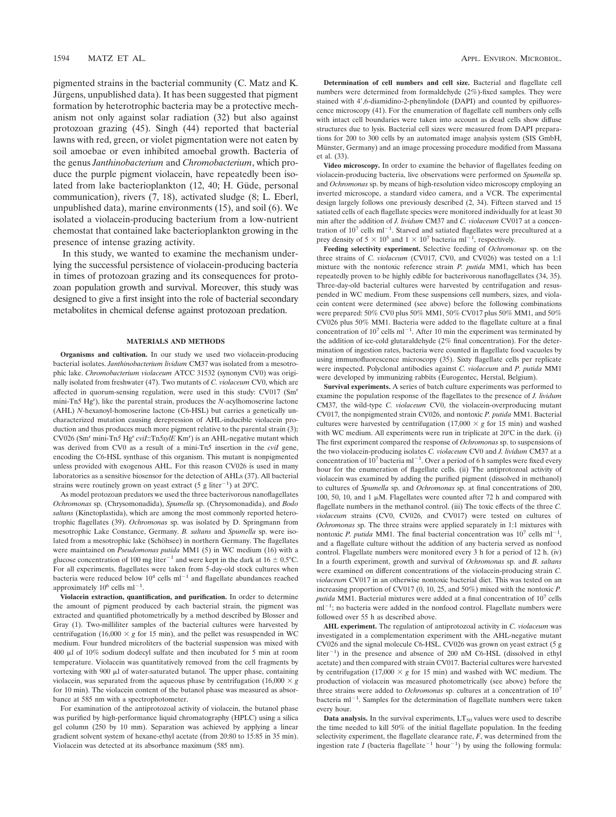pigmented strains in the bacterial community (C. Matz and K. Jürgens, unpublished data). It has been suggested that pigment formation by heterotrophic bacteria may be a protective mechanism not only against solar radiation (32) but also against protozoan grazing (45). Singh (44) reported that bacterial lawns with red, green, or violet pigmentation were not eaten by soil amoebae or even inhibited amoebal growth. Bacteria of the genus *Janthinobacterium* and *Chromobacterium*, which produce the purple pigment violacein, have repeatedly been isolated from lake bacterioplankton (12, 40; H. Güde, personal communication), rivers (7, 18), activated sludge (8; L. Eberl, unpublished data), marine environments (15), and soil (6). We isolated a violacein-producing bacterium from a low-nutrient chemostat that contained lake bacterioplankton growing in the presence of intense grazing activity.

In this study, we wanted to examine the mechanism underlying the successful persistence of violacein-producing bacteria in times of protozoan grazing and its consequences for protozoan population growth and survival. Moreover, this study was designed to give a first insight into the role of bacterial secondary metabolites in chemical defense against protozoan predation.

#### **MATERIALS AND METHODS**

**Organisms and cultivation.** In our study we used two violacein-producing bacterial isolates. *Janthinobacterium lividum* CM37 was isolated from a mesotrophic lake. *Chromobacterium violaceum* ATCC 31532 (synonym CV0) was originally isolated from freshwater (47). Two mutants of *C. violaceum* CV0, which are affected in quorum-sensing regulation, were used in this study: CV017 (Sm<sup>r</sup> mini-Tn*5* Hg<sup>r</sup> ), like the parental strain, produces the *N*-acylhomoserine lactone (AHL) *N*-hexanoyl-homoserine lactone (C6-HSL) but carries a genetically uncharacterized mutation causing derepression of AHL-inducible violacein production and thus produces much more pigment relative to the parental strain (3); CV026 (Sm<sup>r</sup> mini-Tn*5* Hg<sup>r</sup> *cviI*::Tn*5xylE* Km<sup>r</sup> ) is an AHL-negative mutant which was derived from CV0 as a result of a mini-Tn*5* insertion in the *cviI* gene, encoding the C6-HSL synthase of this organism. This mutant is nonpigmented unless provided with exogenous AHL. For this reason CV026 is used in many laboratories as a sensitive biosensor for the detection of AHLs (37). All bacterial strains were routinely grown on yeast extract (5 g liter<sup>-1</sup>) at 20°C.

As model protozoan predators we used the three bacterivorous nanoflagellates *Ochromonas* sp. (Chrysomonadida), *Spumella* sp. (Chrysomonadida), and *Bodo saltans* (Kinetoplastida), which are among the most commonly reported heterotrophic flagellates (39). *Ochromonas* sp. was isolated by D. Springmann from mesotrophic Lake Constance, Germany. *B. saltans* and *Spumella* sp. were isolated from a mesotrophic lake (Schöhsee) in northern Germany. The flagellates were maintained on *Pseudomonas putida* MM1 (5) in WC medium (16) with a glucose concentration of 100 mg liter<sup>-1</sup> and were kept in the dark at 16  $\pm$  0.5°C. For all experiments, flagellates were taken from 5-day-old stock cultures when bacteria were reduced below  $10^4$  cells ml<sup>-1</sup> and flagellate abundances reached approximately  $10^6$  cells ml<sup>-1</sup>.

**Violacein extraction, quantification, and purification.** In order to determine the amount of pigment produced by each bacterial strain, the pigment was extracted and quantified photometrically by a method described by Blosser and Gray (1). Two-milliliter samples of the bacterial cultures were harvested by centrifugation (16,000  $\times$  *g* for 15 min), and the pellet was resuspended in WC medium. Four hundred microliters of the bacterial suspension was mixed with 400  $\mu$ l of 10% sodium dodecyl sulfate and then incubated for 5 min at room temperature. Violacein was quantitatively removed from the cell fragments by vortexing with  $900 \mu l$  of water-saturated butanol. The upper phase, containing violacein, was separated from the aqueous phase by centrifugation  $(16,000 \times g)$ for 10 min). The violacein content of the butanol phase was measured as absorbance at 585 nm with a spectrophotometer.

For examination of the antiprotozoal activity of violacein, the butanol phase was purified by high-performance liquid chromatography (HPLC) using a silica gel column (250 by 10 mm). Separation was achieved by applying a linear gradient solvent system of hexane-ethyl acetate (from 20:80 to 15:85 in 35 min). Violacein was detected at its absorbance maximum (585 nm).

**Determination of cell numbers and cell size.** Bacterial and flagellate cell numbers were determined from formaldehyde (2%)-fixed samples. They were stained with 4',6-diamidino-2-phenylindole (DAPI) and counted by epifluorescence microscopy (41). For the enumeration of flagellate cell numbers only cells with intact cell boundaries were taken into account as dead cells show diffuse structures due to lysis. Bacterial cell sizes were measured from DAPI preparations for 200 to 300 cells by an automated image analysis system (SIS GmbH, Münster, Germany) and an image processing procedure modified from Massana et al. (33).

**Video microscopy.** In order to examine the behavior of flagellates feeding on violacein-producing bacteria, live observations were performed on *Spumella* sp. and *Ochromonas* sp. by means of high-resolution video microscopy employing an inverted microscope, a standard video camera, and a VCR. The experimental design largely follows one previously described (2, 34). Fifteen starved and 15 satiated cells of each flagellate species were monitored individually for at least 30 min after the addition of *J. lividum* CM37 and *C. violaceum* CV017 at a concentration of  $10^7$  cells ml<sup>-1</sup>. Starved and satiated flagellates were precultured at a prey density of  $5 \times 10^5$  and  $1 \times 10^7$  bacteria ml<sup>-1</sup>, respectively.

**Feeding selectivity experiment.** Selective feeding of *Ochromonas* sp. on the three strains of *C. violaceum* (CV017, CV0, and CV026) was tested on a 1:1 mixture with the nontoxic reference strain *P. putida* MM1, which has been repeatedly proven to be highly edible for bacterivorous nanoflagellates (34, 35). Three-day-old bacterial cultures were harvested by centrifugation and resuspended in WC medium. From these suspensions cell numbers, sizes, and violacein content were determined (see above) before the following combinations were prepared: 50% CV0 plus 50% MM1, 50% CV017 plus 50% MM1, and 50% CV026 plus 50% MM1. Bacteria were added to the flagellate culture at a final concentration of  $10^7$  cells ml<sup>-1</sup>. After 10 min the experiment was terminated by the addition of ice-cold glutaraldehyde (2% final concentration). For the determination of ingestion rates, bacteria were counted in flagellate food vacuoles by using immunofluorescence microscopy (35). Sixty flagellate cells per replicate were inspected. Polyclonal antibodies against *C. violaceum* and *P. putida* MM1 were developed by immunizing rabbits (Eurogentec, Herstal, Belgium).

**Survival experiments.** A series of batch culture experiments was performed to examine the population response of the flagellates to the presence of *J. lividum* CM37, the wild-type *C. violaceum* CV0, the violacein-overproducing mutant CV017, the nonpigmented strain CV026, and nontoxic *P. putida* MM1. Bacterial cultures were harvested by centrifugation  $(17,000 \times g$  for 15 min) and washed with WC medium. All experiments were run in triplicate at 20°C in the dark. (i) The first experiment compared the response of *Ochromonas* sp. to suspensions of the two violacein-producing isolates *C. violaceum* CV0 and *J. lividum* CM37 at a concentration of  $10^7$  bacteria ml<sup>-1</sup>. Over a period of 6 h samples were fixed every hour for the enumeration of flagellate cells. (ii) The antiprotozoal activity of violacein was examined by adding the purified pigment (dissolved in methanol) to cultures of *Spumella* sp. and *Ochromonas* sp. at final concentrations of 200, 100, 50, 10, and 1  $\mu$ M. Flagellates were counted after 72 h and compared with flagellate numbers in the methanol control. (iii) The toxic effects of the three *C. violaceum* strains (CV0, CV026, and CV017) were tested on cultures of *Ochromonas* sp. The three strains were applied separately in 1:1 mixtures with nontoxic *P. putida* MM1. The final bacterial concentration was  $10^7$  cells ml<sup>-1</sup>, and a flagellate culture without the addition of any bacteria served as nonfood control. Flagellate numbers were monitored every 3 h for a period of 12 h. (iv) In a fourth experiment, growth and survival of *Ochromonas* sp. and *B. saltans* were examined on different concentrations of the violacein-producing strain *C. violaceum* CV017 in an otherwise nontoxic bacterial diet. This was tested on an increasing proportion of CV017 (0, 10, 25, and 50%) mixed with the nontoxic *P. putida* MM1. Bacterial mixtures were added at a final concentration of 10<sup>7</sup> cells ml<sup>-1</sup>; no bacteria were added in the nonfood control. Flagellate numbers were followed over 55 h as described above.

**AHL experiment.** The regulation of antiprotozoal activity in *C. violaceum* was investigated in a complementation experiment with the AHL-negative mutant CV026 and the signal molecule C6-HSL. CV026 was grown on yeast extract (5 g liter<sup>-1</sup>) in the presence and absence of 200 nM C6-HSL (dissolved in ethyl acetate) and then compared with strain CV017. Bacterial cultures were harvested by centrifugation (17,000  $\times g$  for 15 min) and washed with WC medium. The production of violacein was measured photometrically (see above) before the three strains were added to *Ochromonas* sp. cultures at a concentration of 107 bacteria ml<sup>-1</sup>. Samples for the determination of flagellate numbers were taken every hour.

**Data analysis.** In the survival experiments,  $LT_{50}$  values were used to describe the time needed to kill 50% of the initial flagellate population. In the feeding selectivity experiment, the flagellate clearance rate, *F*, was determined from the ingestion rate *I* (bacteria flagellate<sup> $-1$ </sup> hour<sup> $-1$ </sup>) by using the following formula: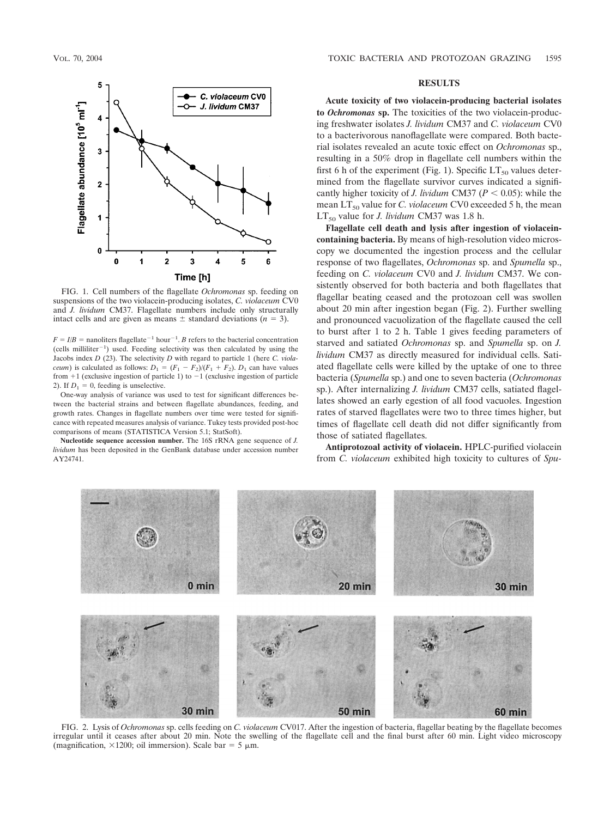

FIG. 1. Cell numbers of the flagellate *Ochromonas* sp. feeding on suspensions of the two violacein-producing isolates, *C. violaceum* CV0 and *J. lividum* CM37. Flagellate numbers include only structurally intact cells and are given as means  $\pm$  standard deviations ( $n = 3$ ).

 $F = I/B$  = nanoliters flagellate<sup>-1</sup> hour<sup>-1</sup>. *B* refers to the bacterial concentration (cells milliliter-1 ) used. Feeding selectivity was then calculated by using the Jacobs index *D* (23). The selectivity *D* with regard to particle 1 (here *C. violaceum*) is calculated as follows:  $D_1 = (F_1 - F_2)/(F_1 + F_2)$ .  $D_1$  can have values from  $+1$  (exclusive ingestion of particle 1) to  $-1$  (exclusive ingestion of particle 2). If  $D_1 = 0$ , feeding is unselective.

One-way analysis of variance was used to test for significant differences between the bacterial strains and between flagellate abundances, feeding, and growth rates. Changes in flagellate numbers over time were tested for significance with repeated measures analysis of variance. Tukey tests provided post-hoc comparisons of means (STATISTICA Version 5.1; StatSoft).

**Nucleotide sequence accession number.** The 16S rRNA gene sequence of *J. lividum* has been deposited in the GenBank database under accession number AY24741.

## **RESULTS**

**Acute toxicity of two violacein-producing bacterial isolates to** *Ochromonas* **sp.** The toxicities of the two violacein-producing freshwater isolates *J. lividum* CM37 and *C. violaceum* CV0 to a bacterivorous nanoflagellate were compared. Both bacterial isolates revealed an acute toxic effect on *Ochromonas* sp., resulting in a 50% drop in flagellate cell numbers within the first 6 h of the experiment (Fig. 1). Specific  $LT_{50}$  values determined from the flagellate survivor curves indicated a significantly higher toxicity of *J. lividum* CM37 ( $P < 0.05$ ): while the mean LT<sub>50</sub> value for *C. violaceum* CV0 exceeded 5 h, the mean  $LT_{50}$  value for *J. lividum* CM37 was 1.8 h.

**Flagellate cell death and lysis after ingestion of violaceincontaining bacteria.** By means of high-resolution video microscopy we documented the ingestion process and the cellular response of two flagellates, *Ochromonas* sp. and *Spumella* sp., feeding on *C. violaceum* CV0 and *J. lividum* CM37. We consistently observed for both bacteria and both flagellates that flagellar beating ceased and the protozoan cell was swollen about 20 min after ingestion began (Fig. 2). Further swelling and pronounced vacuolization of the flagellate caused the cell to burst after 1 to 2 h. Table 1 gives feeding parameters of starved and satiated *Ochromonas* sp. and *Spumella* sp. on *J. lividum* CM37 as directly measured for individual cells. Satiated flagellate cells were killed by the uptake of one to three bacteria (*Spumella* sp.) and one to seven bacteria (*Ochromonas* sp.). After internalizing *J. lividum* CM37 cells, satiated flagellates showed an early egestion of all food vacuoles. Ingestion rates of starved flagellates were two to three times higher, but times of flagellate cell death did not differ significantly from those of satiated flagellates.

**Antiprotozoal activity of violacein.** HPLC-purified violacein from *C. violaceum* exhibited high toxicity to cultures of *Spu-*



FIG. 2. Lysis of *Ochromonas* sp. cells feeding on *C. violaceum* CV017. After the ingestion of bacteria, flagellar beating by the flagellate becomes irregular until it ceases after about 20 min. Note the swelling of the flagellate cell and the final burst after 60 min. Light video microscopy (magnification,  $\times$ 1200; oil immersion). Scale bar = 5  $\mu$ m.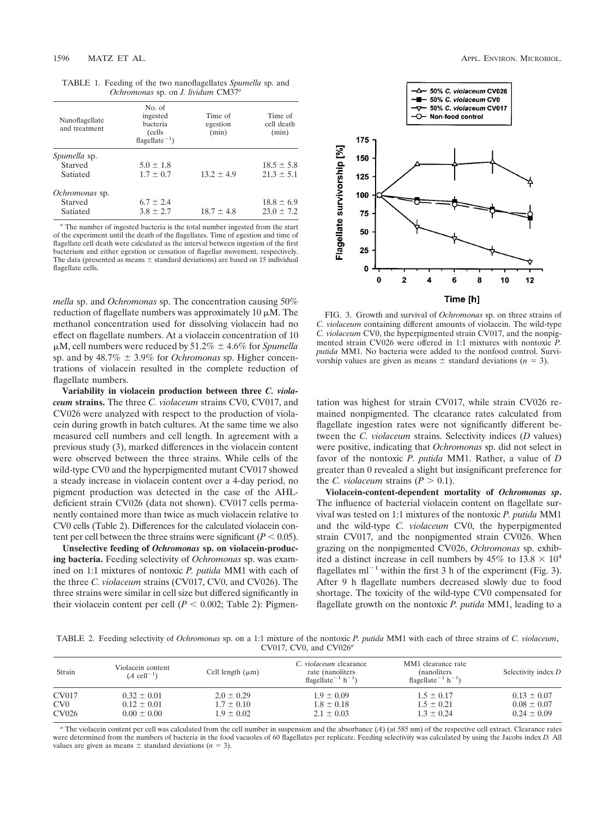| TABLE 1. Feeding of the two nanoflagellates <i>Spumella</i> sp. and |  |
|---------------------------------------------------------------------|--|
| <i>Ochromonas</i> sp. on <i>J. lividum</i> $CM37a$                  |  |

| Nanoflagellate<br>and treatment | No. of<br>ingested<br>bacteria<br>(cells)<br>flagellate <sup><math>-1</math></sup> ) | Time of<br>egestion<br>(min) | Time of<br>cell death<br>(min) |
|---------------------------------|--------------------------------------------------------------------------------------|------------------------------|--------------------------------|
| Spumella sp.                    |                                                                                      |                              |                                |
| Starved                         | $5.0 \pm 1.8$                                                                        |                              | $18.5 \pm 5.8$                 |
| Satiated                        | $1.7 \pm 0.7$                                                                        | $13.2 + 4.9$                 | $21.3 \pm 5.1$                 |
| Ochromonas sp.                  |                                                                                      |                              |                                |
| Starved                         | $6.7 \pm 2.4$                                                                        |                              | $18.8 \pm 6.9$                 |
| Satiated                        | $3.8 \pm 2.7$                                                                        | $18.7 \pm 4.8$               | $23.0 \pm 7.2$                 |

*<sup>a</sup>* The number of ingested bacteria is the total number ingested from the start of the experiment until the death of the flagellates. Time of egestion and time of flagellate cell death were calculated as the interval between ingestion of the first bacterium and either egestion or cessation of flagellar movement, respectively. The data (presented as means  $\pm$  standard deviations) are based on 15 individual flagellate cells.

*mella* sp. and *Ochromonas* sp. The concentration causing 50% reduction of flagellate numbers was approximately 10  $\mu$ M. The methanol concentration used for dissolving violacein had no effect on flagellate numbers. At a violacein concentration of 10  $\mu$ M, cell numbers were reduced by 51.2%  $\pm$  4.6% for *Spumella* sp. and by  $48.7\% \pm 3.9\%$  for *Ochromonas* sp. Higher concentrations of violacein resulted in the complete reduction of flagellate numbers.

**Variability in violacein production between three** *C. violaceum* **strains.** The three *C. violaceum* strains CV0, CV017, and CV026 were analyzed with respect to the production of violacein during growth in batch cultures. At the same time we also measured cell numbers and cell length. In agreement with a previous study (3), marked differences in the violacein content were observed between the three strains. While cells of the wild-type CV0 and the hyperpigmented mutant CV017 showed a steady increase in violacein content over a 4-day period, no pigment production was detected in the case of the AHLdeficient strain CV026 (data not shown). CV017 cells permanently contained more than twice as much violacein relative to CV0 cells (Table 2). Differences for the calculated violacein content per cell between the three strains were significant ( $P < 0.05$ ).

**Unselective feeding of** *Ochromonas* **sp. on violacein-producing bacteria.** Feeding selectivity of *Ochromonas* sp. was examined on 1:1 mixtures of nontoxic *P. putida* MM1 with each of the three *C. violaceum* strains (CV017, CV0, and CV026). The three strains were similar in cell size but differed significantly in their violacein content per cell  $(P < 0.002$ ; Table 2): Pigmen-



FIG. 3. Growth and survival of *Ochromonas* sp. on three strains of *C. violaceum* containing different amounts of violacein. The wild-type *C. violaceum* CV0, the hyperpigmented strain CV017, and the nonpigmented strain CV026 were offered in 1:1 mixtures with nontoxic *P. putida* MM1. No bacteria were added to the nonfood control. Survivorship values are given as means  $\pm$  standard deviations ( $n = 3$ ).

tation was highest for strain CV017, while strain CV026 remained nonpigmented. The clearance rates calculated from flagellate ingestion rates were not significantly different between the *C. violaceum* strains. Selectivity indices (*D* values) were positive, indicating that *Ochromonas* sp. did not select in favor of the nontoxic *P. putida* MM1. Rather, a value of *D* greater than 0 revealed a slight but insignificant preference for the *C. violaceum* strains  $(P > 0.1)$ .

**Violacein-content-dependent mortality of** *Ochromonas sp***.** The influence of bacterial violacein content on flagellate survival was tested on 1:1 mixtures of the nontoxic *P. putida* MM1 and the wild-type *C. violaceum* CV0, the hyperpigmented strain CV017, and the nonpigmented strain CV026. When grazing on the nonpigmented CV026, *Ochromonas* sp. exhibited a distinct increase in cell numbers by 45% to  $13.8 \times 10^4$ flagellates  $ml^{-1}$  within the first 3 h of the experiment (Fig. 3). After 9 h flagellate numbers decreased slowly due to food shortage. The toxicity of the wild-type CV0 compensated for flagellate growth on the nontoxic *P. putida* MM1, leading to a

TABLE 2. Feeding selectivity of *Ochromonas* sp. on a 1:1 mixture of the nontoxic *P. putida* MM1 with each of three strains of *C. violaceum*, CV017, CV0, and CV026*<sup>a</sup>*

| Strain          | Violacein content<br>$(A$ cell <sup>-1</sup> ) | Cell length $(\mu m)$ | C. violaceum clearance<br>rate (nanoliters<br>flagellate <sup><math>-1</math></sup> h <sup><math>-1</math></sup> ) | MM1 clearance rate<br>(nanoliters)<br>flagellate <sup><math>-1</math></sup> h <sup><math>-1</math></sup> ) | Selectivity index D |
|-----------------|------------------------------------------------|-----------------------|--------------------------------------------------------------------------------------------------------------------|------------------------------------------------------------------------------------------------------------|---------------------|
| CV017           | $0.32 \pm 0.01$                                | $2.0 \pm 0.29$        | $1.9 \pm 0.09$                                                                                                     | $1.5 \pm 0.17$                                                                                             | $0.13 \pm 0.07$     |
| CV <sub>0</sub> | $0.12 \pm 0.01$                                | $1.7 \pm 0.10$        | $1.8 \pm 0.18$                                                                                                     | $1.5 \pm 0.21$                                                                                             | $0.08 \pm 0.07$     |
| CV026           | $0.00 \pm 0.00$                                | $1.9 \pm 0.02$        | $2.1 \pm 0.03$                                                                                                     | $1.3 \pm 0.24$                                                                                             | $0.24 \pm 0.09$     |

*<sup>a</sup>* The violacein content per cell was calculated from the cell number in suspension and the absorbance (*A*) (at 585 nm) of the respective cell extract. Clearance rates were determined from the numbers of bacteria in the food vacuoles of 60 flagellates per replicate. Feeding selectivity was calculated by using the Jacobs index *D.* All values are given as means  $\pm$  standard deviations ( $n = 3$ ).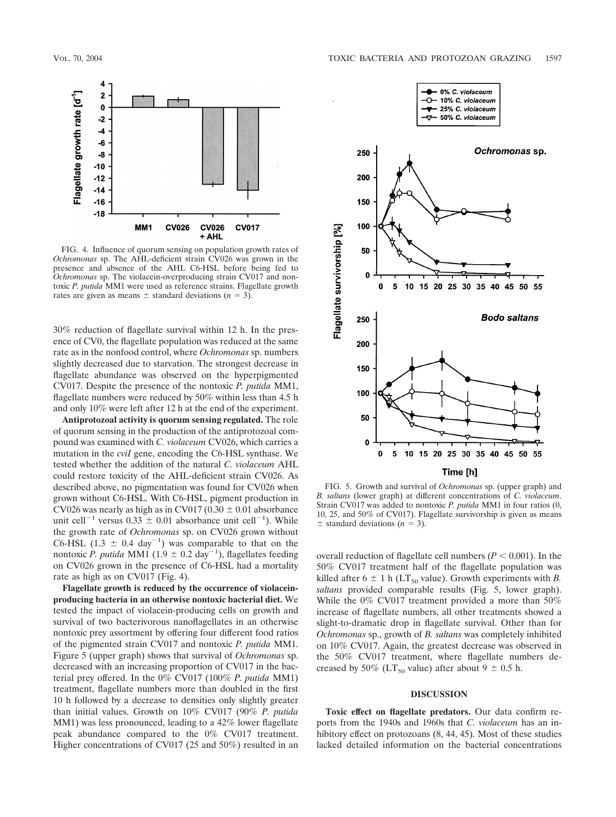

FIG. 4. Influence of quorum sensing on population growth rates of *Ochromonas* sp. The AHL-deficient strain CV026 was grown in the presence and absence of the AHL C6-HSL before being fed to *Ochromonas* sp. The violacein-overproducing strain CV017 and nontoxic *P. putida* MM1 were used as reference strains. Flagellate growth rates are given as means  $\pm$  standard deviations ( $n = 3$ ).

30% reduction of flagellate survival within 12 h. In the presence of CV0, the flagellate population was reduced at the same rate as in the nonfood control, where *Ochromonas* sp. numbers slightly decreased due to starvation. The strongest decrease in flagellate abundance was observed on the hyperpigmented CV017. Despite the presence of the nontoxic *P. putida* MM1, flagellate numbers were reduced by 50% within less than 4.5 h and only 10% were left after 12 h at the end of the experiment.

**Antiprotozoal activity is quorum sensing regulated.** The role of quorum sensing in the production of the antiprotozoal compound was examined with *C. violaceum* CV026, which carries a mutation in the *cviI* gene, encoding the C6-HSL synthase. We tested whether the addition of the natural *C. violaceum* AHL could restore toxicity of the AHL-deficient strain CV026. As described above, no pigmentation was found for CV026 when grown without C6-HSL. With C6-HSL, pigment production in CV026 was nearly as high as in CV017 (0.30  $\pm$  0.01 absorbance unit cell<sup>-1</sup> versus  $0.33 \pm 0.01$  absorbance unit cell<sup>-1</sup>). While the growth rate of *Ochromonas* sp. on CV026 grown without C6-HSL  $(1.3 \pm 0.4 \text{ day}^{-1})$  was comparable to that on the nontoxic *P. putida* MM1 (1.9  $\pm$  0.2 day<sup>-1</sup>), flagellates feeding on CV026 grown in the presence of C6-HSL had a mortality rate as high as on CV017 (Fig. 4).

**Flagellate growth is reduced by the occurrence of violaceinproducing bacteria in an otherwise nontoxic bacterial diet.** We tested the impact of violacein-producing cells on growth and survival of two bacterivorous nanoflagellates in an otherwise nontoxic prey assortment by offering four different food ratios of the pigmented strain CV017 and nontoxic *P. putida* MM1. Figure 5 (upper graph) shows that survival of *Ochromonas* sp. decreased with an increasing proportion of CV017 in the bacterial prey offered. In the 0% CV017 (100% *P. putida* MM1) treatment, flagellate numbers more than doubled in the first 10 h followed by a decrease to densities only slightly greater than initial values. Growth on 10% CV017 (90% *P. putida* MM1) was less pronounced, leading to a 42% lower flagellate peak abundance compared to the 0% CV017 treatment. Higher concentrations of CV017 (25 and 50%) resulted in an



FIG. 5. Growth and survival of *Ochromonas* sp. (upper graph) and *B. saltans* (lower graph) at different concentrations of *C. violaceum*. Strain CV017 was added to nontoxic *P. putida* MM1 in four ratios (0, 10, 25, and 50% of CV017). Flagellate survivorship is given as means  $\pm$  standard deviations ( $n = 3$ ).

overall reduction of flagellate cell numbers ( $P < 0.001$ ). In the 50% CV017 treatment half of the flagellate population was killed after  $6 \pm 1$  h (LT<sub>50</sub> value). Growth experiments with *B*. *saltans* provided comparable results (Fig. 5, lower graph). While the 0% CV017 treatment provided a more than 50% increase of flagellate numbers, all other treatments showed a slight-to-dramatic drop in flagellate survival. Other than for *Ochromonas* sp., growth of *B. saltans* was completely inhibited on 10% CV017. Again, the greatest decrease was observed in the 50% CV017 treatment, where flagellate numbers decreased by 50% (LT<sub>50</sub> value) after about  $9 \pm 0.5$  h.

#### **DISCUSSION**

**Toxic effect on flagellate predators.** Our data confirm reports from the 1940s and 1960s that *C. violaceum* has an inhibitory effect on protozoans  $(8, 44, 45)$ . Most of these studies lacked detailed information on the bacterial concentrations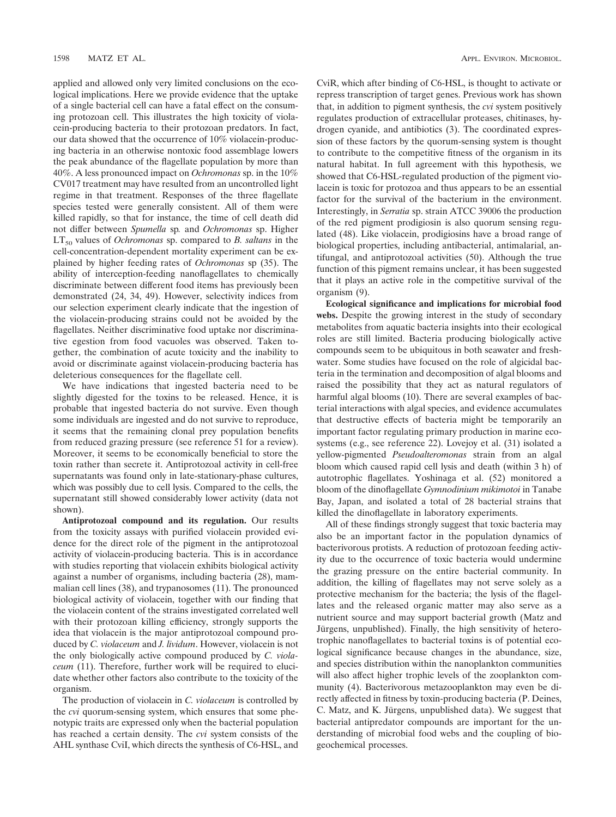applied and allowed only very limited conclusions on the ecological implications. Here we provide evidence that the uptake of a single bacterial cell can have a fatal effect on the consuming protozoan cell. This illustrates the high toxicity of violacein-producing bacteria to their protozoan predators. In fact, our data showed that the occurrence of 10% violacein-producing bacteria in an otherwise nontoxic food assemblage lowers the peak abundance of the flagellate population by more than 40%. A less pronounced impact on *Ochromonas* sp. in the 10% CV017 treatment may have resulted from an uncontrolled light regime in that treatment. Responses of the three flagellate species tested were generally consistent. All of them were killed rapidly, so that for instance, the time of cell death did not differ between *Spumella* sp*.* and *Ochromonas* sp. Higher  $LT_{50}$  values of *Ochromonas* sp. compared to *B. saltans* in the cell-concentration-dependent mortality experiment can be explained by higher feeding rates of *Ochromonas* sp (35). The ability of interception-feeding nanoflagellates to chemically discriminate between different food items has previously been demonstrated (24, 34, 49). However, selectivity indices from our selection experiment clearly indicate that the ingestion of the violacein-producing strains could not be avoided by the flagellates. Neither discriminative food uptake nor discriminative egestion from food vacuoles was observed. Taken together, the combination of acute toxicity and the inability to avoid or discriminate against violacein-producing bacteria has deleterious consequences for the flagellate cell.

We have indications that ingested bacteria need to be slightly digested for the toxins to be released. Hence, it is probable that ingested bacteria do not survive. Even though some individuals are ingested and do not survive to reproduce, it seems that the remaining clonal prey population benefits from reduced grazing pressure (see reference 51 for a review). Moreover, it seems to be economically beneficial to store the toxin rather than secrete it. Antiprotozoal activity in cell-free supernatants was found only in late-stationary-phase cultures, which was possibly due to cell lysis. Compared to the cells, the supernatant still showed considerably lower activity (data not shown).

**Antiprotozoal compound and its regulation.** Our results from the toxicity assays with purified violacein provided evidence for the direct role of the pigment in the antiprotozoal activity of violacein-producing bacteria. This is in accordance with studies reporting that violacein exhibits biological activity against a number of organisms, including bacteria (28), mammalian cell lines (38), and trypanosomes (11). The pronounced biological activity of violacein, together with our finding that the violacein content of the strains investigated correlated well with their protozoan killing efficiency, strongly supports the idea that violacein is the major antiprotozoal compound produced by *C. violaceum* and *J. lividum*. However, violacein is not the only biologically active compound produced by *C. violaceum* (11). Therefore, further work will be required to elucidate whether other factors also contribute to the toxicity of the organism.

The production of violacein in *C. violaceum* is controlled by the *cvi* quorum-sensing system, which ensures that some phenotypic traits are expressed only when the bacterial population has reached a certain density. The *cvi* system consists of the AHL synthase CviI, which directs the synthesis of C6-HSL, and

CviR, which after binding of C6-HSL, is thought to activate or repress transcription of target genes. Previous work has shown that, in addition to pigment synthesis, the *cvi* system positively regulates production of extracellular proteases, chitinases, hydrogen cyanide, and antibiotics (3). The coordinated expression of these factors by the quorum-sensing system is thought to contribute to the competitive fitness of the organism in its natural habitat. In full agreement with this hypothesis, we showed that C6-HSL-regulated production of the pigment violacein is toxic for protozoa and thus appears to be an essential factor for the survival of the bacterium in the environment. Interestingly, in *Serratia* sp. strain ATCC 39006 the production of the red pigment prodigiosin is also quorum sensing regulated (48). Like violacein, prodigiosins have a broad range of biological properties, including antibacterial, antimalarial, antifungal, and antiprotozoal activities (50). Although the true function of this pigment remains unclear, it has been suggested that it plays an active role in the competitive survival of the organism (9).

**Ecological significance and implications for microbial food webs.** Despite the growing interest in the study of secondary metabolites from aquatic bacteria insights into their ecological roles are still limited. Bacteria producing biologically active compounds seem to be ubiquitous in both seawater and freshwater. Some studies have focused on the role of algicidal bacteria in the termination and decomposition of algal blooms and raised the possibility that they act as natural regulators of harmful algal blooms (10). There are several examples of bacterial interactions with algal species, and evidence accumulates that destructive effects of bacteria might be temporarily an important factor regulating primary production in marine ecosystems (e.g., see reference 22). Lovejoy et al. (31) isolated a yellow-pigmented *Pseudoalteromonas* strain from an algal bloom which caused rapid cell lysis and death (within 3 h) of autotrophic flagellates. Yoshinaga et al. (52) monitored a bloom of the dinoflagellate *Gymnodinium mikimotoi* in Tanabe Bay, Japan, and isolated a total of 28 bacterial strains that killed the dinoflagellate in laboratory experiments.

All of these findings strongly suggest that toxic bacteria may also be an important factor in the population dynamics of bacterivorous protists. A reduction of protozoan feeding activity due to the occurrence of toxic bacteria would undermine the grazing pressure on the entire bacterial community. In addition, the killing of flagellates may not serve solely as a protective mechanism for the bacteria; the lysis of the flagellates and the released organic matter may also serve as a nutrient source and may support bacterial growth (Matz and Jürgens, unpublished). Finally, the high sensitivity of heterotrophic nanoflagellates to bacterial toxins is of potential ecological significance because changes in the abundance, size, and species distribution within the nanoplankton communities will also affect higher trophic levels of the zooplankton community (4). Bacterivorous metazooplankton may even be directly affected in fitness by toxin-producing bacteria (P. Deines, C. Matz, and K. Jürgens, unpublished data). We suggest that bacterial antipredator compounds are important for the understanding of microbial food webs and the coupling of biogeochemical processes.